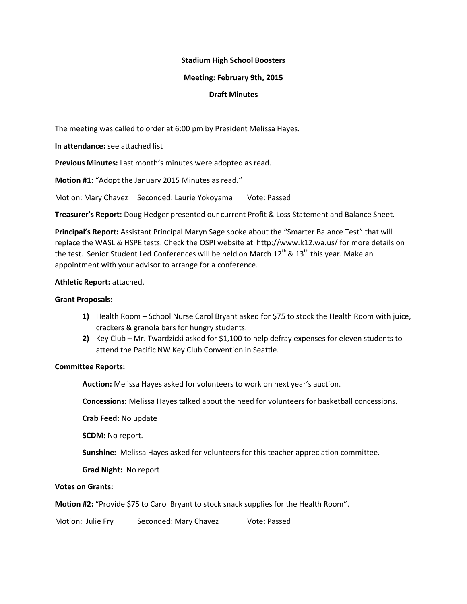## **Stadium High School Boosters**

### **Meeting: February 9th, 2015**

## **Draft Minutes**

The meeting was called to order at 6:00 pm by President Melissa Hayes.

**In attendance:** see attached list

**Previous Minutes:** Last month's minutes were adopted as read.

**Motion #1:** "Adopt the January 2015 Minutes as read."

Motion: Mary Chavez Seconded: Laurie Yokoyama Vote: Passed

**Treasurer's Report:** Doug Hedger presented our current Profit & Loss Statement and Balance Sheet.

**Principal's Report:** Assistant Principal Maryn Sage spoke about the "Smarter Balance Test" that will replace the WASL & HSPE tests. Check the OSPI website at http://www.k12.wa.us/ for more details on the test. Senior Student Led Conferences will be held on March  $12^{th}$  &  $13^{th}$  this year. Make an appointment with your advisor to arrange for a conference.

### **Athletic Report:** attached.

#### **Grant Proposals:**

- **1)** Health Room School Nurse Carol Bryant asked for \$75 to stock the Health Room with juice, crackers & granola bars for hungry students.
- **2)** Key Club Mr. Twardzicki asked for \$1,100 to help defray expenses for eleven students to attend the Pacific NW Key Club Convention in Seattle.

# **Committee Reports:**

**Auction:** Melissa Hayes asked for volunteers to work on next year's auction.

**Concessions:** Melissa Hayes talked about the need for volunteers for basketball concessions.

**Crab Feed:** No update

**SCDM:** No report.

**Sunshine:** Melissa Hayes asked for volunteers for this teacher appreciation committee.

**Grad Night:** No report

### **Votes on Grants:**

**Motion #2:** "Provide \$75 to Carol Bryant to stock snack supplies for the Health Room".

Motion: Julie Fry Seconded: Mary Chavez Vote: Passed